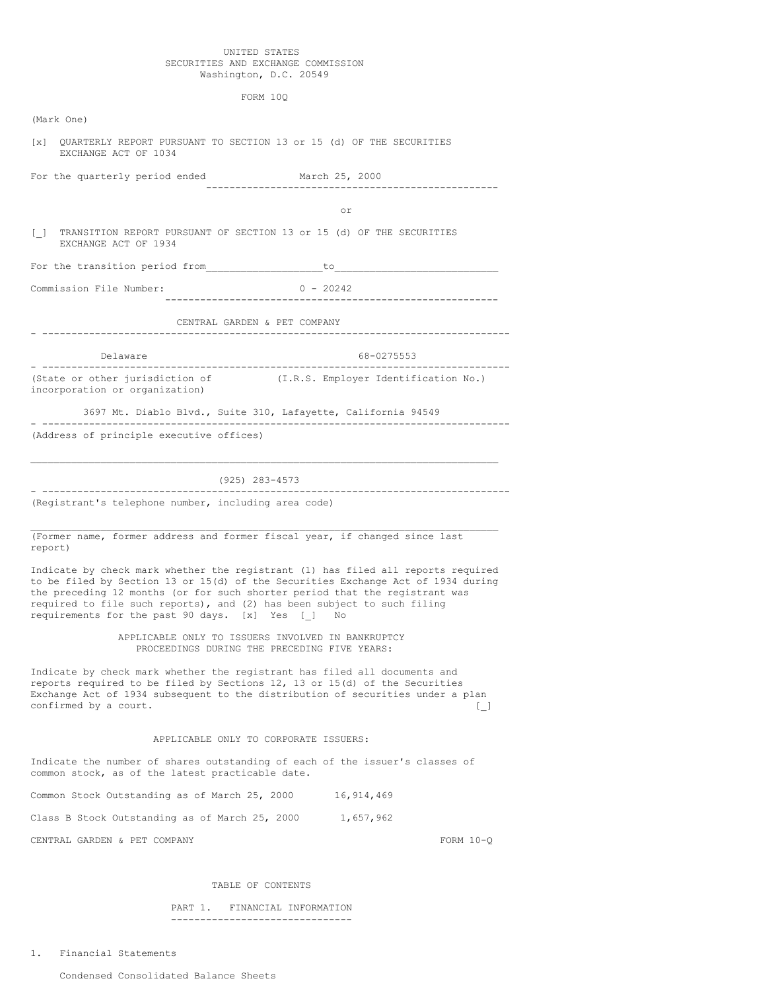### UNITED STATES SECURITIES AND EXCHANGE COMMISSION Washington, D.C. 20549

FORM 10Q

| (Mark One)                                                                                                                                                                       |                                                                                                                                                                                                                                                     |
|----------------------------------------------------------------------------------------------------------------------------------------------------------------------------------|-----------------------------------------------------------------------------------------------------------------------------------------------------------------------------------------------------------------------------------------------------|
| $\lceil x \rceil$<br>EXCHANGE ACT OF 1034                                                                                                                                        | QUARTERLY REPORT PURSUANT TO SECTION 13 or 15 (d) OF THE SECURITIES                                                                                                                                                                                 |
| For the quarterly period ended                                                                                                                                                   | March 25, 2000                                                                                                                                                                                                                                      |
|                                                                                                                                                                                  | or                                                                                                                                                                                                                                                  |
| EXCHANGE ACT OF 1934                                                                                                                                                             | TRANSITION REPORT PURSUANT OF SECTION 13 or 15 (d) OF THE SECURITIES                                                                                                                                                                                |
|                                                                                                                                                                                  | For the transition period from the total to the total contract of the transition of the transition of the transition of the transition of the transition of the transition of the transition of the transition of the transiti                      |
| Commission File Number:                                                                                                                                                          | $0 - 20242$                                                                                                                                                                                                                                         |
|                                                                                                                                                                                  | CENTRAL GARDEN & PET COMPANY                                                                                                                                                                                                                        |
| Delaware<br>------------------------                                                                                                                                             | 68-0275553                                                                                                                                                                                                                                          |
| (State or other jurisdiction of<br>incorporation or organization)                                                                                                                | (I.R.S. Employer Identification No.)                                                                                                                                                                                                                |
|                                                                                                                                                                                  | 3697 Mt. Diablo Blvd., Suite 310, Lafayette, California 94549                                                                                                                                                                                       |
| (Address of principle executive offices)                                                                                                                                         |                                                                                                                                                                                                                                                     |
|                                                                                                                                                                                  |                                                                                                                                                                                                                                                     |
|                                                                                                                                                                                  | (925) 283-4573                                                                                                                                                                                                                                      |
| --------------------------------<br>(Registrant's telephone number, including area code)                                                                                         |                                                                                                                                                                                                                                                     |
| report)                                                                                                                                                                          | (Former name, former address and former fiscal year, if changed since last                                                                                                                                                                          |
| required to file such reports), and (2) has been subject to such filing<br>requirements for the past 90 days. [x] Yes [ ] No                                                     | Indicate by check mark whether the registrant (1) has filed all reports required<br>to be filed by Section 13 or 15(d) of the Securities Exchange Act of 1934 during<br>the preceding 12 months (or for such shorter period that the registrant was |
|                                                                                                                                                                                  | APPLICABLE ONLY TO ISSUERS INVOLVED IN BANKRUPTCY<br>PROCEEDINGS DURING THE PRECEDING FIVE YEARS:                                                                                                                                                   |
| Indicate by check mark whether the registrant has filed all documents and<br>reports required to be filed by Sections 12, 13 or 15(d) of the Securities<br>confirmed by a court. | Exchange Act of 1934 subsequent to the distribution of securities under a plan<br>U                                                                                                                                                                 |
|                                                                                                                                                                                  | APPLICABLE ONLY TO CORPORATE ISSUERS:                                                                                                                                                                                                               |
| common stock, as of the latest practicable date.                                                                                                                                 | Indicate the number of shares outstanding of each of the issuer's classes of                                                                                                                                                                        |
| Common Stock Outstanding as of March 25, 2000                                                                                                                                    | 16,914,469                                                                                                                                                                                                                                          |
| Class B Stock Outstanding as of March 25, 2000                                                                                                                                   | 1,657,962                                                                                                                                                                                                                                           |
| CENTRAL GARDEN & PET COMPANY                                                                                                                                                     | FORM $10-Q$                                                                                                                                                                                                                                         |
|                                                                                                                                                                                  |                                                                                                                                                                                                                                                     |

# TABLE OF CONTENTS

PART 1. FINANCIAL INFORMATION -------------------------------

1. Financial Statements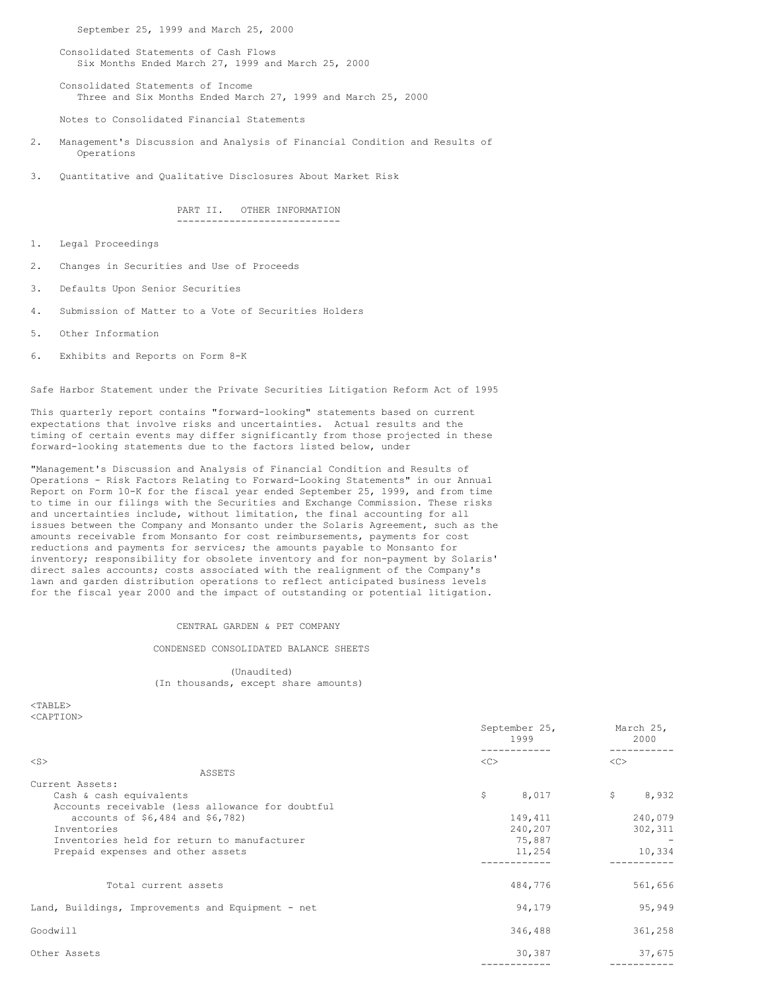September 25, 1999 and March 25, 2000

Consolidated Statements of Cash Flows Six Months Ended March 27, 1999 and March 25, 2000

Consolidated Statements of Income Three and Six Months Ended March 27, 1999 and March 25, 2000

Notes to Consolidated Financial Statements

- 2. Management's Discussion and Analysis of Financial Condition and Results of Operations
- 3. Quantitative and Qualitative Disclosures About Market Risk

#### PART II. OTHER INFORMATION ----------------------------

- 1. Legal Proceedings
- 2. Changes in Securities and Use of Proceeds
- 3. Defaults Upon Senior Securities
- 4. Submission of Matter to a Vote of Securities Holders
- 5. Other Information
- 6. Exhibits and Reports on Form 8-K

Safe Harbor Statement under the Private Securities Litigation Reform Act of 1995

This quarterly report contains "forward-looking" statements based on current expectations that involve risks and uncertainties. Actual results and the timing of certain events may differ significantly from those projected in these forward-looking statements due to the factors listed below, under

"Management's Discussion and Analysis of Financial Condition and Results of Operations - Risk Factors Relating to Forward-Looking Statements" in our Annual Report on Form 10-K for the fiscal year ended September 25, 1999, and from time to time in our filings with the Securities and Exchange Commission. These risks and uncertainties include, without limitation, the final accounting for all issues between the Company and Monsanto under the Solaris Agreement, such as the amounts receivable from Monsanto for cost reimbursements, payments for cost reductions and payments for services; the amounts payable to Monsanto for inventory; responsibility for obsolete inventory and for non-payment by Solaris' direct sales accounts; costs associated with the realignment of the Company's lawn and garden distribution operations to reflect anticipated business levels for the fiscal year 2000 and the impact of outstanding or potential litigation.

### CENTRAL GARDEN & PET COMPANY

CONDENSED CONSOLIDATED BALANCE SHEETS

(Unaudited) (In thousands, except share amounts)

 $<$ TABLE> <CAPTION>

|                                                   | September 25,<br>1999 | March 25,<br>2000 |
|---------------------------------------------------|-----------------------|-------------------|
| $<$ S $>$                                         | <<                    | <<                |
| ASSETS                                            |                       |                   |
| Current Assets:                                   |                       |                   |
| Cash & cash equivalents                           | \$<br>8,017           | \$<br>8,932       |
| Accounts receivable (less allowance for doubtful  |                       |                   |
| accounts of \$6,484 and \$6,782)                  | 149,411               | 240,079           |
| Inventories                                       | 240,207               | 302,311           |
| Inventories held for return to manufacturer       | 75,887                |                   |
| Prepaid expenses and other assets                 | 11,254                | 10,334            |
|                                                   |                       |                   |
| Total current assets                              | 484,776               | 561,656           |
| Land, Buildings, Improvements and Equipment - net | 94,179                | 95,949            |
| Goodwill                                          | 346,488               | 361,258           |
| Other Assets                                      | 30,387                | 37,675            |
|                                                   |                       |                   |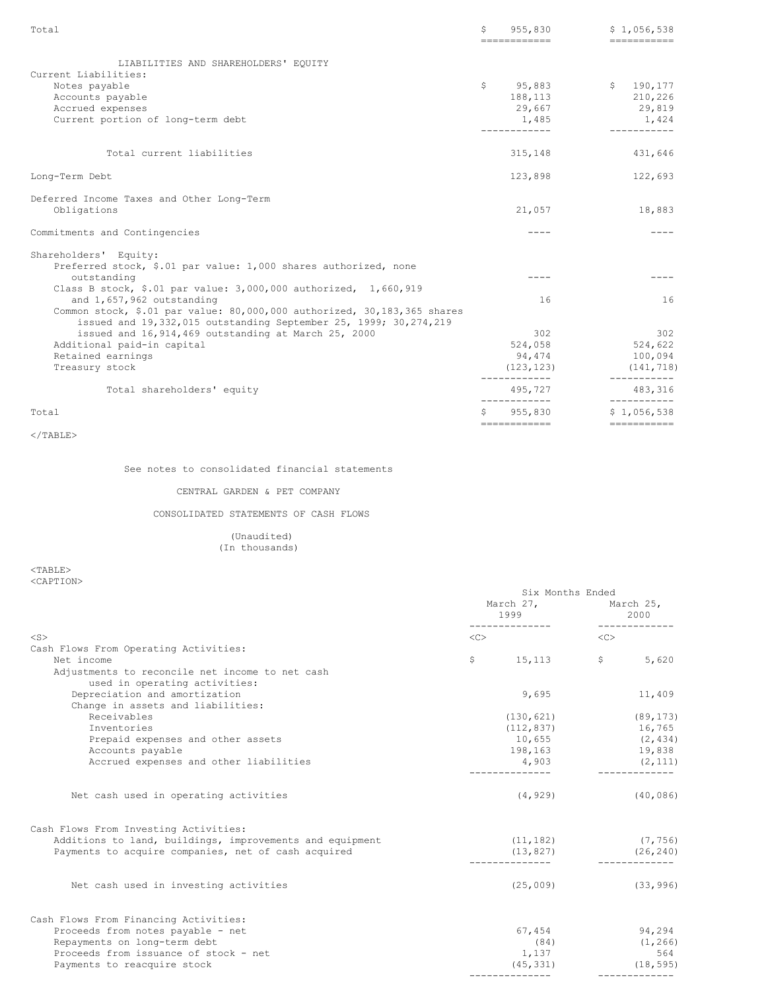| Total                                                                                                                                                                                                                                                        | \$             | 955,830<br>-------------              | \$1,056,538<br>------------           |
|--------------------------------------------------------------------------------------------------------------------------------------------------------------------------------------------------------------------------------------------------------------|----------------|---------------------------------------|---------------------------------------|
| LIABILITIES AND SHAREHOLDERS' EQUITY<br>Current Liabilities:<br>Notes payable<br>Accounts payable                                                                                                                                                            | $\mathsf{S}^-$ | 95,883<br>188,113                     | \$190, 177<br>210,226                 |
| Accrued expenses<br>Current portion of long-term debt                                                                                                                                                                                                        |                | 29,667<br>1,485<br>------------       | 29,819<br>1,424<br>-----------        |
| Total current liabilities                                                                                                                                                                                                                                    |                | 315,148                               | 431,646                               |
| Long-Term Debt                                                                                                                                                                                                                                               |                | 123,898                               | 122,693                               |
| Deferred Income Taxes and Other Long-Term<br>Obligations                                                                                                                                                                                                     |                | 21,057                                | 18,883                                |
| Commitments and Contingencies                                                                                                                                                                                                                                |                | $---$                                 |                                       |
| Shareholders' Equity:<br>Preferred stock, \$.01 par value: 1,000 shares authorized, none                                                                                                                                                                     |                | $- - - -$                             |                                       |
| outstanding<br>Class B stock, \$.01 par value: $3,000,000$ authorized, 1,660,919<br>and 1,657,962 outstanding<br>Common stock, \$.01 par value: 80,000,000 authorized, 30,183,365 shares<br>issued and 19,332,015 outstanding September 25, 1999; 30,274,219 |                | 16                                    | 16                                    |
| issued and 16, 914, 469 outstanding at March 25, 2000<br>Additional paid-in capital                                                                                                                                                                          |                | 302<br>524,058                        | 302<br>524,622                        |
| Retained earnings<br>Treasury stock                                                                                                                                                                                                                          |                | 94,474<br>(123, 123)<br>------------- | 100,094<br>(141, 718)<br>------------ |
| Total shareholders' equity                                                                                                                                                                                                                                   |                | 495,727<br>-------------              | 483,316                               |
| Total                                                                                                                                                                                                                                                        | Ŝ.             | 955,830<br>------------               | \$1,056,538<br>===========            |

See notes to consolidated financial statements

### CENTRAL GARDEN & PET COMPANY

CONSOLIDATED STATEMENTS OF CASH FLOWS

(Unaudited) (In thousands)

 $<$ TABLE $>$ <CAPTION>

|                                                          | Six Months Ended |                               |           |               |
|----------------------------------------------------------|------------------|-------------------------------|-----------|---------------|
|                                                          |                  | March 27, March 25,<br>1999 7 |           | 2000          |
| $<$ S $>$                                                | <<>              |                               | < <c></c> |               |
| Cash Flows From Operating Activities:                    |                  |                               |           |               |
| Net income                                               | $\mathsf{S}$     | $15,113$ \$                   |           | 5,620         |
|                                                          |                  |                               |           |               |
| Adjustments to reconcile net income to net cash          |                  |                               |           |               |
| used in operating activities:                            |                  |                               |           |               |
| Depreciation and amortization                            |                  | 9,695                         |           | 11,409        |
| Change in assets and liabilities:                        |                  |                               |           |               |
| Receivables                                              |                  | (130, 621)                    |           | (89, 173)     |
| Inventories                                              |                  | $(112, 837)$ 16,765           |           |               |
| Prepaid expenses and other assets                        |                  | $10,655$ (2,434)              |           |               |
| Accounts payable                                         |                  | 198,163 19,838                |           |               |
| Accrued expenses and other liabilities                   |                  | $4,903$ (2,111)               |           |               |
| Net cash used in operating activities                    |                  | (4, 929)                      |           | (40, 086)     |
| Cash Flows From Investing Activities:                    |                  |                               |           |               |
| Additions to land, buildings, improvements and equipment |                  | $(11, 182)$ (7,756)           |           |               |
| Payments to acquire companies, net of cash acquired      |                  | (13, 827)                     |           | (26, 240)     |
| Net cash used in investing activities                    |                  | (25, 009)                     |           | (33, 996)     |
|                                                          |                  |                               |           |               |
| Cash Flows From Financing Activities:                    |                  |                               |           |               |
| Proceeds from notes payable - net                        |                  | 67,454                        |           | 94,294        |
| Repayments on long-term debt                             |                  | (84)                          |           | (1, 266)      |
| Proceeds from issuance of stock - net                    |                  | 1,137                         |           | 564           |
| Payments to reacquire stock                              |                  | (45, 331)                     |           | (18, 595)     |
|                                                          |                  |                               |           | ------------- |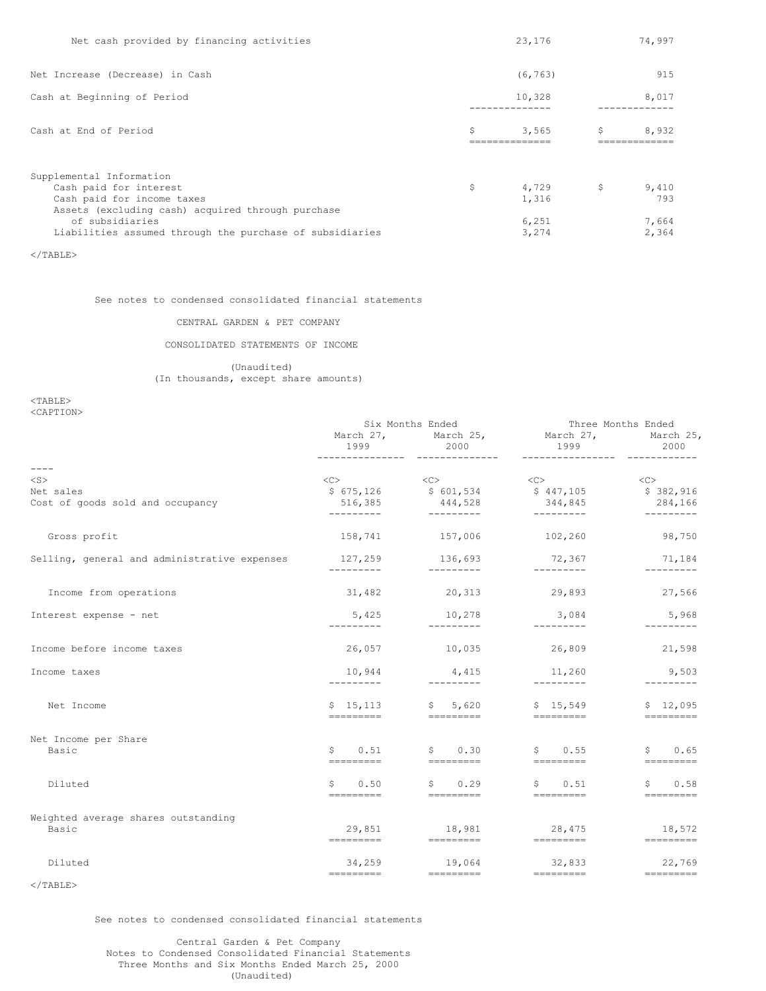| Net cash provided by financing activities                                                                                        |    | 23,176                  |     | 74,997                  |
|----------------------------------------------------------------------------------------------------------------------------------|----|-------------------------|-----|-------------------------|
| Net Increase (Decrease) in Cash                                                                                                  |    | (6, 763)                |     | 915                     |
| Cash at Beginning of Period                                                                                                      |    | 10,328                  |     | 8,017                   |
| Cash at End of Period                                                                                                            | Ś  | 3,565<br>-------------- | \$. | 8,932<br>-------------- |
| Supplemental Information<br>Cash paid for interest<br>Cash paid for income taxes                                                 | \$ | 4,729<br>1,316          | \$  | 9,410<br>793            |
| Assets (excluding cash) acquired through purchase<br>of subsidiaries<br>Liabilities assumed through the purchase of subsidiaries |    | 6,251<br>3,274          |     | 7,664<br>2,364          |

# See notes to condensed consolidated financial statements

# CENTRAL GARDEN & PET COMPANY

# CONSOLIDATED STATEMENTS OF INCOME

(Unaudited) (In thousands, except share amounts)

<TABLE> <CAPTION>

|                                              |                                                                                                                                                                                                                                                                                                                                                                                                                                                                                        | Six Months Ended                                                                                                                                                                                                                                                                                                                                                                                                                                                                                               | Three Months Ended                                                                                                                                                                                                                                                                                                                                                                                                                                                                                                 |                                                    |  |
|----------------------------------------------|----------------------------------------------------------------------------------------------------------------------------------------------------------------------------------------------------------------------------------------------------------------------------------------------------------------------------------------------------------------------------------------------------------------------------------------------------------------------------------------|----------------------------------------------------------------------------------------------------------------------------------------------------------------------------------------------------------------------------------------------------------------------------------------------------------------------------------------------------------------------------------------------------------------------------------------------------------------------------------------------------------------|--------------------------------------------------------------------------------------------------------------------------------------------------------------------------------------------------------------------------------------------------------------------------------------------------------------------------------------------------------------------------------------------------------------------------------------------------------------------------------------------------------------------|----------------------------------------------------|--|
|                                              | 1999                                                                                                                                                                                                                                                                                                                                                                                                                                                                                   | 2000                                                                                                                                                                                                                                                                                                                                                                                                                                                                                                           | March 27, March 25, March 27, March 25,<br>1999                                                                                                                                                                                                                                                                                                                                                                                                                                                                    | 2000                                               |  |
| $- - - - -$                                  |                                                                                                                                                                                                                                                                                                                                                                                                                                                                                        | ---------------- ---------------                                                                                                                                                                                                                                                                                                                                                                                                                                                                               |                                                                                                                                                                                                                                                                                                                                                                                                                                                                                                                    |                                                    |  |
| $<$ S $>$                                    | $\langle C \rangle$                                                                                                                                                                                                                                                                                                                                                                                                                                                                    | $<<$ $C$ $>$                                                                                                                                                                                                                                                                                                                                                                                                                                                                                                   | $\langle C \rangle$                                                                                                                                                                                                                                                                                                                                                                                                                                                                                                | $<<$ C $>$                                         |  |
| Net sales                                    | \$675,126                                                                                                                                                                                                                                                                                                                                                                                                                                                                              | \$601,534                                                                                                                                                                                                                                                                                                                                                                                                                                                                                                      | \$447,105                                                                                                                                                                                                                                                                                                                                                                                                                                                                                                          | \$382,916                                          |  |
| Cost of goods sold and occupancy             | 516,385<br>----------                                                                                                                                                                                                                                                                                                                                                                                                                                                                  | 444,528<br>$\mathcal{L}(\mathcal{L})$ . The constraints of                                                                                                                                                                                                                                                                                                                                                                                                                                                     | 344,845                                                                                                                                                                                                                                                                                                                                                                                                                                                                                                            | 284,166                                            |  |
| Gross profit                                 |                                                                                                                                                                                                                                                                                                                                                                                                                                                                                        | 158,741 157,006                                                                                                                                                                                                                                                                                                                                                                                                                                                                                                | 102,260                                                                                                                                                                                                                                                                                                                                                                                                                                                                                                            | 98,750                                             |  |
| Selling, general and administrative expenses | 127,259<br>_________                                                                                                                                                                                                                                                                                                                                                                                                                                                                   | 136,693<br>----------                                                                                                                                                                                                                                                                                                                                                                                                                                                                                          | 72,367                                                                                                                                                                                                                                                                                                                                                                                                                                                                                                             | 71,184<br>---------                                |  |
| Income from operations                       |                                                                                                                                                                                                                                                                                                                                                                                                                                                                                        |                                                                                                                                                                                                                                                                                                                                                                                                                                                                                                                | $31,482$ 20,313 29,893 27,566                                                                                                                                                                                                                                                                                                                                                                                                                                                                                      |                                                    |  |
| Interest expense - net                       | 5,425<br>----------                                                                                                                                                                                                                                                                                                                                                                                                                                                                    | 10,278<br>----------                                                                                                                                                                                                                                                                                                                                                                                                                                                                                           | 3,084<br>$- - - - - - - - -$                                                                                                                                                                                                                                                                                                                                                                                                                                                                                       | 5,968<br>---------                                 |  |
| Income before income taxes                   | 26,057                                                                                                                                                                                                                                                                                                                                                                                                                                                                                 | 10,035                                                                                                                                                                                                                                                                                                                                                                                                                                                                                                         | 26,809                                                                                                                                                                                                                                                                                                                                                                                                                                                                                                             | 21,598                                             |  |
| Income taxes                                 | 10,944<br>_________                                                                                                                                                                                                                                                                                                                                                                                                                                                                    | 4,415<br>---------                                                                                                                                                                                                                                                                                                                                                                                                                                                                                             | 11,260<br>---------                                                                                                                                                                                                                                                                                                                                                                                                                                                                                                | 9,503                                              |  |
| Net Income                                   | ---------                                                                                                                                                                                                                                                                                                                                                                                                                                                                              |                                                                                                                                                                                                                                                                                                                                                                                                                                                                                                                | $$15,113$ $$5,620$ $$15,549$                                                                                                                                                                                                                                                                                                                                                                                                                                                                                       | \$12,095<br>=========                              |  |
| Net Income per Share                         |                                                                                                                                                                                                                                                                                                                                                                                                                                                                                        |                                                                                                                                                                                                                                                                                                                                                                                                                                                                                                                |                                                                                                                                                                                                                                                                                                                                                                                                                                                                                                                    |                                                    |  |
| Basic                                        | \$0.51<br>=========                                                                                                                                                                                                                                                                                                                                                                                                                                                                    | \$0.30<br>----------                                                                                                                                                                                                                                                                                                                                                                                                                                                                                           | \$0.55<br>___________                                                                                                                                                                                                                                                                                                                                                                                                                                                                                              | \$0.65<br>$=$ =========                            |  |
| Diluted                                      | \$<br>0.50                                                                                                                                                                                                                                                                                                                                                                                                                                                                             | $\mathsf{S}$<br>0.29                                                                                                                                                                                                                                                                                                                                                                                                                                                                                           | \$0.51                                                                                                                                                                                                                                                                                                                                                                                                                                                                                                             | 0.58<br>$\mathsf{S}$                               |  |
|                                              | =========                                                                                                                                                                                                                                                                                                                                                                                                                                                                              |                                                                                                                                                                                                                                                                                                                                                                                                                                                                                                                | $\begin{tabular}{lcccccc} \multicolumn{2}{c}{\textbf{2}} & \multicolumn{2}{c}{\textbf{2}} & \multicolumn{2}{c}{\textbf{2}} & \multicolumn{2}{c}{\textbf{2}} & \multicolumn{2}{c}{\textbf{2}} & \multicolumn{2}{c}{\textbf{2}} & \multicolumn{2}{c}{\textbf{2}} & \multicolumn{2}{c}{\textbf{2}} & \multicolumn{2}{c}{\textbf{2}} & \multicolumn{2}{c}{\textbf{2}} & \multicolumn{2}{c}{\textbf{2}} & \multicolumn{2}{c}{\textbf{2}} & \multicolumn{2}{c}{\textbf{2}} & \mult$                                      | =========                                          |  |
| Weighted average shares outstanding<br>Basic | 29,851                                                                                                                                                                                                                                                                                                                                                                                                                                                                                 | 18,981                                                                                                                                                                                                                                                                                                                                                                                                                                                                                                         | 28,475                                                                                                                                                                                                                                                                                                                                                                                                                                                                                                             | 18,572<br>and a complete the complete state of the |  |
| Diluted                                      | 34,259                                                                                                                                                                                                                                                                                                                                                                                                                                                                                 | 19,064                                                                                                                                                                                                                                                                                                                                                                                                                                                                                                         | 32,833                                                                                                                                                                                                                                                                                                                                                                                                                                                                                                             | 22,769                                             |  |
|                                              | $\begin{array}{cccccccccc} \multicolumn{2}{c}{} & \multicolumn{2}{c}{} & \multicolumn{2}{c}{} & \multicolumn{2}{c}{} & \multicolumn{2}{c}{} & \multicolumn{2}{c}{} & \multicolumn{2}{c}{} & \multicolumn{2}{c}{} & \multicolumn{2}{c}{} & \multicolumn{2}{c}{} & \multicolumn{2}{c}{} & \multicolumn{2}{c}{} & \multicolumn{2}{c}{} & \multicolumn{2}{c}{} & \multicolumn{2}{c}{} & \multicolumn{2}{c}{} & \multicolumn{2}{c}{} & \multicolumn{2}{c}{} & \multicolumn{2}{c}{} & \mult$ | $\begin{minipage}{0.9\linewidth} \begin{tabular}{l} \multicolumn{2}{c}{\textbf{6} \end{tabular} \end{minipage} \begin{minipage}{0.9\linewidth} \begin{tabular}{l} \multicolumn{2}{c}{\textbf{6} \end{tabular} \end{minipage} \end{minipage} \begin{minipage}{0.9\linewidth} \begin{tabular}{l} \multicolumn{2}{c}{\textbf{6} \end{tabular} \end{minipage} \end{minipage} \begin{minipage}{0.9\linewidth} \begin{tabular}{l} \multicolumn{2}{c}{\textbf{6} \end{tabular} \end{minipage} \end{minipage} \begin{$ | $\begin{minipage}{0.5\linewidth} \begin{tabular}{l} \multicolumn{2}{c}{\textbf{6} \end{tabular}} \end{minipage} \begin{minipage}{0.5\linewidth} \begin{tabular}{l} \multicolumn{2}{c}{\textbf{6} \end{tabular}} \end{minipage} \end{minipage} \begin{minipage}{0.5\linewidth} \begin{tabular}{l} \multicolumn{2}{c}{\textbf{6} \end{tabular}} \end{minipage} \end{minipage} \begin{minipage}{0.5\linewidth} \begin{tabular}{l} \multicolumn{2}{c}{\textbf{6} \end{tabular}} \end{minipage} \end{minipage} \begin{$ | $=$ =========                                      |  |

 $<$ /TABLE $>$ 

See notes to condensed consolidated financial statements

Central Garden & Pet Company Notes to Condensed Consolidated Financial Statements Three Months and Six Months Ended March 25, 2000 (Unaudited)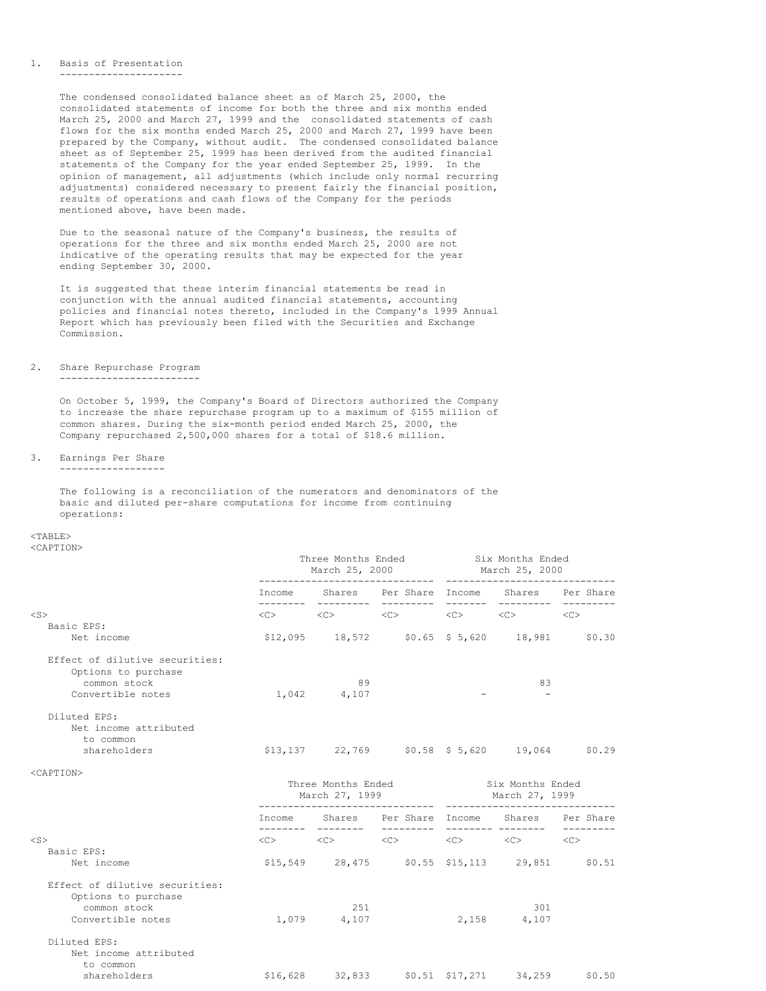#### 1. Basis of Presentation ---------------------

The condensed consolidated balance sheet as of March 25, 2000, the consolidated statements of income for both the three and six months ended March 25, 2000 and March 27, 1999 and the consolidated statements of cash flows for the six months ended March 25, 2000 and March 27, 1999 have been prepared by the Company, without audit. The condensed consolidated balance sheet as of September 25, 1999 has been derived from the audited financial statements of the Company for the year ended September 25, 1999. In the opinion of management, all adjustments (which include only normal recurring adjustments) considered necessary to present fairly the financial position, results of operations and cash flows of the Company for the periods mentioned above, have been made.

Due to the seasonal nature of the Company's business, the results of operations for the three and six months ended March 25, 2000 are not indicative of the operating results that may be expected for the year ending September 30, 2000.

It is suggested that these interim financial statements be read in conjunction with the annual audited financial statements, accounting policies and financial notes thereto, included in the Company's 1999 Annual Report which has previously been filed with the Securities and Exchange Commission.

# 2. Share Repurchase Program

### ------------------------

On October 5, 1999, the Company's Board of Directors authorized the Company to increase the share repurchase program up to a maximum of \$155 million of common shares. During the six-month period ended March 25, 2000, the Company repurchased 2,500,000 shares for a total of \$18.6 million.

#### 3. Earnings Per Share ------------------

The following is a reconciliation of the numerators and denominators of the basic and diluted per-share computations for income from continuing operations:

# $<$ TABLE>

<CAPTION>

|                                                       | Three Months Ended<br>March 25, 2000 |                | Six Months Ended<br>March 25, 2000                                                                                      |                            |                  |
|-------------------------------------------------------|--------------------------------------|----------------|-------------------------------------------------------------------------------------------------------------------------|----------------------------|------------------|
|                                                       |                                      |                | Income Shares Per-Share Income Shares Per-Share                                                                         | ----------                 |                  |
| $<$ S $>$                                             |                                      |                | $\langle$ C> $\langle$ C> $\langle$ C> $\langle$ C> $\langle$ C> $\langle$ C> $\langle$ C> $\langle$ C>                 |                            |                  |
| Basic EPS:                                            |                                      |                |                                                                                                                         |                            |                  |
| Net income                                            |                                      |                | $$12,095$ $18,572$ $$0.65$ $$5,620$ $18,981$ $$0.30$                                                                    |                            |                  |
| Effect of dilutive securities:<br>Options to purchase |                                      |                |                                                                                                                         |                            |                  |
| common stock                                          |                                      | 89             |                                                                                                                         | 83                         |                  |
| Convertible notes                                     |                                      | 1,042 4,107    |                                                                                                                         |                            |                  |
| Diluted EPS:<br>Net income attributed<br>to common    |                                      |                | $$13,137$ 22,769 $$0.58$ \$ 5,620 19,064 \$0.29                                                                         |                            |                  |
| shareholders                                          |                                      |                |                                                                                                                         |                            |                  |
| <caption></caption>                                   |                                      |                |                                                                                                                         |                            |                  |
|                                                       |                                      | March 27, 1999 | Three Months Ended Six Months Ended                                                                                     | March 27, 1999             |                  |
|                                                       |                                      |                | Income Shares Per-Share Income Shares Per-Share                                                                         |                            |                  |
| $<$ S $>$                                             |                                      |                | $\langle C \rangle$ $\langle C \rangle$ $\langle C \rangle$ $\langle C \rangle$ $\langle C \rangle$ $\langle C \rangle$ |                            | ---------<br><<> |
| Basic EPS:                                            |                                      |                |                                                                                                                         |                            |                  |
| Net income                                            |                                      |                | \$15,549 28,475 \$0.55 \$15,113 29,851 \$0.51                                                                           |                            |                  |
| Effect of dilutive securities:<br>Options to purchase |                                      |                |                                                                                                                         |                            |                  |
| common stock                                          |                                      | 2.51           |                                                                                                                         | 301                        |                  |
| Convertible notes                                     |                                      | 1,079 4,107    |                                                                                                                         | 2,158 4,107                |                  |
| Diluted EPS:                                          |                                      |                |                                                                                                                         |                            |                  |
| Net income attributed<br>to common                    |                                      |                |                                                                                                                         |                            |                  |
| shareholders                                          | \$16,628                             | 32,833         |                                                                                                                         | $$0.51$ $$17,271$ $34,259$ | \$0.50           |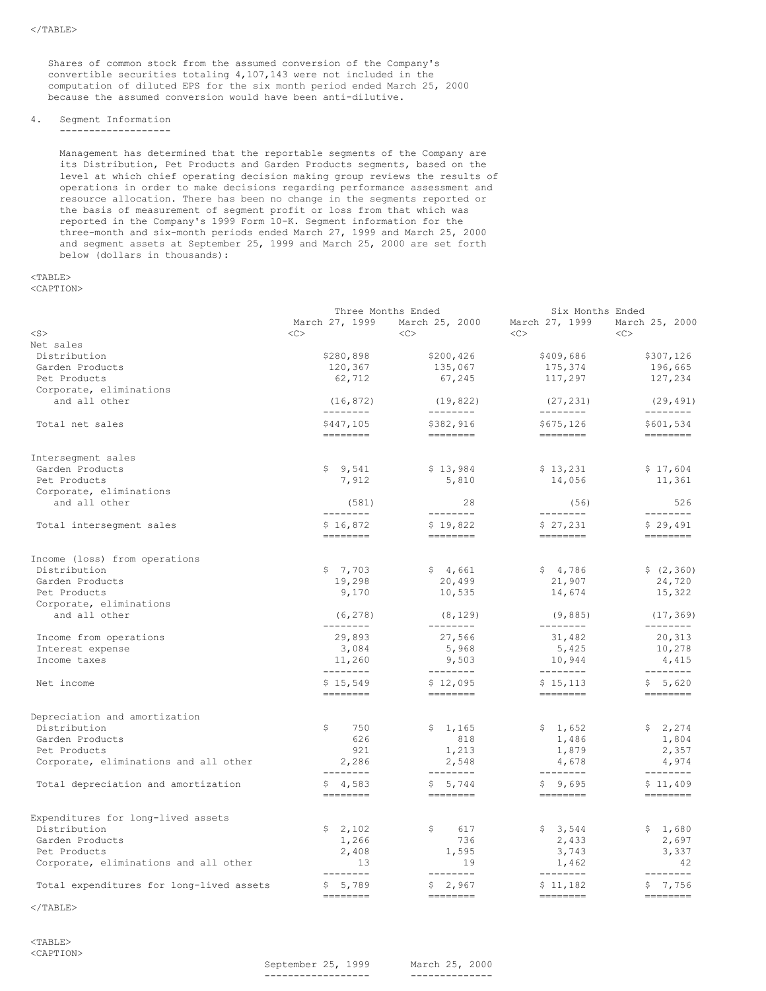Shares of common stock from the assumed conversion of the Company's convertible securities totaling 4,107,143 were not included in the computation of diluted EPS for the six month period ended March 25, 2000 because the assumed conversion would have been anti-dilutive.

### 4. Segment Information

-------------------

Management has determined that the reportable segments of the Company are its Distribution, Pet Products and Garden Products segments, based on the level at which chief operating decision making group reviews the results of operations in order to make decisions regarding performance assessment and resource allocation. There has been no change in the segments reported or the basis of measurement of segment profit or loss from that which was reported in the Company's 1999 Form 10-K. Segment information for the three-month and six-month periods ended March 27, 1999 and March 25, 2000 and segment assets at September 25, 1999 and March 25, 2000 are set forth below (dollars in thousands):

# <TABLE>

<CAPTION>

|                                               | Three Months Ended                                                                                                                                                                                                                                                                                                                                                                                                                                                                                                                                         |                                                                                                                                                                                                                                                                                                                                                                                                                                                                                                                     | Six Months Ended                                                                                                                                                                                                                                                                                                                                                                                                                                                                                                    |                                                                                                                                                                                                                                                                                                                                                                                                                                                                                                                                 |
|-----------------------------------------------|------------------------------------------------------------------------------------------------------------------------------------------------------------------------------------------------------------------------------------------------------------------------------------------------------------------------------------------------------------------------------------------------------------------------------------------------------------------------------------------------------------------------------------------------------------|---------------------------------------------------------------------------------------------------------------------------------------------------------------------------------------------------------------------------------------------------------------------------------------------------------------------------------------------------------------------------------------------------------------------------------------------------------------------------------------------------------------------|---------------------------------------------------------------------------------------------------------------------------------------------------------------------------------------------------------------------------------------------------------------------------------------------------------------------------------------------------------------------------------------------------------------------------------------------------------------------------------------------------------------------|---------------------------------------------------------------------------------------------------------------------------------------------------------------------------------------------------------------------------------------------------------------------------------------------------------------------------------------------------------------------------------------------------------------------------------------------------------------------------------------------------------------------------------|
|                                               | March 27, 1999                                                                                                                                                                                                                                                                                                                                                                                                                                                                                                                                             | March 25, 2000                                                                                                                                                                                                                                                                                                                                                                                                                                                                                                      | March 27, 1999                                                                                                                                                                                                                                                                                                                                                                                                                                                                                                      | March 25, 2000                                                                                                                                                                                                                                                                                                                                                                                                                                                                                                                  |
| $<$ S $>$                                     | <<                                                                                                                                                                                                                                                                                                                                                                                                                                                                                                                                                         | <<                                                                                                                                                                                                                                                                                                                                                                                                                                                                                                                  | <<>                                                                                                                                                                                                                                                                                                                                                                                                                                                                                                                 | <<                                                                                                                                                                                                                                                                                                                                                                                                                                                                                                                              |
| Net sales                                     |                                                                                                                                                                                                                                                                                                                                                                                                                                                                                                                                                            |                                                                                                                                                                                                                                                                                                                                                                                                                                                                                                                     |                                                                                                                                                                                                                                                                                                                                                                                                                                                                                                                     |                                                                                                                                                                                                                                                                                                                                                                                                                                                                                                                                 |
| Distribution                                  | \$280,898                                                                                                                                                                                                                                                                                                                                                                                                                                                                                                                                                  | \$200,426                                                                                                                                                                                                                                                                                                                                                                                                                                                                                                           | \$409,686                                                                                                                                                                                                                                                                                                                                                                                                                                                                                                           | \$307,126                                                                                                                                                                                                                                                                                                                                                                                                                                                                                                                       |
| Garden Products                               | 120,367                                                                                                                                                                                                                                                                                                                                                                                                                                                                                                                                                    | 135,067                                                                                                                                                                                                                                                                                                                                                                                                                                                                                                             | 175,374                                                                                                                                                                                                                                                                                                                                                                                                                                                                                                             | 196,665                                                                                                                                                                                                                                                                                                                                                                                                                                                                                                                         |
| Pet Products                                  | 62,712                                                                                                                                                                                                                                                                                                                                                                                                                                                                                                                                                     | 67,245                                                                                                                                                                                                                                                                                                                                                                                                                                                                                                              | 117,297                                                                                                                                                                                                                                                                                                                                                                                                                                                                                                             | 127,234                                                                                                                                                                                                                                                                                                                                                                                                                                                                                                                         |
| Corporate, eliminations                       |                                                                                                                                                                                                                                                                                                                                                                                                                                                                                                                                                            |                                                                                                                                                                                                                                                                                                                                                                                                                                                                                                                     |                                                                                                                                                                                                                                                                                                                                                                                                                                                                                                                     |                                                                                                                                                                                                                                                                                                                                                                                                                                                                                                                                 |
| and all other                                 | (16, 872)<br>---------                                                                                                                                                                                                                                                                                                                                                                                                                                                                                                                                     | (19, 822)<br>---------                                                                                                                                                                                                                                                                                                                                                                                                                                                                                              | (27, 231)<br>---------                                                                                                                                                                                                                                                                                                                                                                                                                                                                                              | (29, 491)<br>--------                                                                                                                                                                                                                                                                                                                                                                                                                                                                                                           |
| Total net sales                               | \$447,105<br>--------                                                                                                                                                                                                                                                                                                                                                                                                                                                                                                                                      | \$382,916<br>========                                                                                                                                                                                                                                                                                                                                                                                                                                                                                               | \$675,126<br>========                                                                                                                                                                                                                                                                                                                                                                                                                                                                                               | \$601,534<br>$\begin{tabular}{ll} \multicolumn{2}{c}{\textbf{m}} & \multicolumn{2}{c}{\textbf{m}} & \multicolumn{2}{c}{\textbf{m}} & \multicolumn{2}{c}{\textbf{m}} & \multicolumn{2}{c}{\textbf{m}} & \multicolumn{2}{c}{\textbf{m}} & \multicolumn{2}{c}{\textbf{m}} & \multicolumn{2}{c}{\textbf{m}} & \multicolumn{2}{c}{\textbf{m}} & \multicolumn{2}{c}{\textbf{m}} & \multicolumn{2}{c}{\textbf{m}} & \multicolumn{2}{c}{\textbf{m}} & \multicolumn{2}{c}{\textbf{m}} & \multicolumn$                                    |
| Intersegment sales                            |                                                                                                                                                                                                                                                                                                                                                                                                                                                                                                                                                            |                                                                                                                                                                                                                                                                                                                                                                                                                                                                                                                     |                                                                                                                                                                                                                                                                                                                                                                                                                                                                                                                     |                                                                                                                                                                                                                                                                                                                                                                                                                                                                                                                                 |
| Garden Products                               | \$9,541                                                                                                                                                                                                                                                                                                                                                                                                                                                                                                                                                    | \$13,984                                                                                                                                                                                                                                                                                                                                                                                                                                                                                                            | \$13,231                                                                                                                                                                                                                                                                                                                                                                                                                                                                                                            | \$17,604                                                                                                                                                                                                                                                                                                                                                                                                                                                                                                                        |
| Pet Products                                  | 7,912                                                                                                                                                                                                                                                                                                                                                                                                                                                                                                                                                      | 5,810                                                                                                                                                                                                                                                                                                                                                                                                                                                                                                               | 14,056                                                                                                                                                                                                                                                                                                                                                                                                                                                                                                              | 11,361                                                                                                                                                                                                                                                                                                                                                                                                                                                                                                                          |
| Corporate, eliminations                       |                                                                                                                                                                                                                                                                                                                                                                                                                                                                                                                                                            |                                                                                                                                                                                                                                                                                                                                                                                                                                                                                                                     |                                                                                                                                                                                                                                                                                                                                                                                                                                                                                                                     |                                                                                                                                                                                                                                                                                                                                                                                                                                                                                                                                 |
| and all other                                 | (581)<br>---------                                                                                                                                                                                                                                                                                                                                                                                                                                                                                                                                         | 28<br>---------                                                                                                                                                                                                                                                                                                                                                                                                                                                                                                     | (56)<br>---------                                                                                                                                                                                                                                                                                                                                                                                                                                                                                                   | 526<br>$- - - - - - - -$                                                                                                                                                                                                                                                                                                                                                                                                                                                                                                        |
| Total intersegment sales                      | \$16,872<br>========                                                                                                                                                                                                                                                                                                                                                                                                                                                                                                                                       | \$19,822<br><b>ERRETER</b>                                                                                                                                                                                                                                                                                                                                                                                                                                                                                          | \$27,231<br>========                                                                                                                                                                                                                                                                                                                                                                                                                                                                                                | \$29,491<br>$\begin{tabular}{ll} \multicolumn{3}{l}{{\color{blue}\textbf{m}}} & \multicolumn{3}{l}{\color{blue}\textbf{m}} & \multicolumn{3}{l}{\color{blue}\textbf{m}} & \multicolumn{3}{l}{\color{blue}\textbf{m}} & \multicolumn{3}{l}{\color{blue}\textbf{m}} & \multicolumn{3}{l}{\color{blue}\textbf{m}} & \multicolumn{3}{l}{\color{blue}\textbf{m}} & \multicolumn{3}{l}{\color{blue}\textbf{m}} & \multicolumn{3}{l}{\color{blue}\textbf{m}} & \multicolumn{3}{l}{\color{blue}\textbf{m}} & \multicolumn{3}{l}{\color$ |
|                                               |                                                                                                                                                                                                                                                                                                                                                                                                                                                                                                                                                            |                                                                                                                                                                                                                                                                                                                                                                                                                                                                                                                     |                                                                                                                                                                                                                                                                                                                                                                                                                                                                                                                     |                                                                                                                                                                                                                                                                                                                                                                                                                                                                                                                                 |
| Income (loss) from operations<br>Distribution | \$7,703                                                                                                                                                                                                                                                                                                                                                                                                                                                                                                                                                    | \$4,661                                                                                                                                                                                                                                                                                                                                                                                                                                                                                                             | \$4,786                                                                                                                                                                                                                                                                                                                                                                                                                                                                                                             | \$ (2, 360)                                                                                                                                                                                                                                                                                                                                                                                                                                                                                                                     |
| Garden Products                               | 19,298                                                                                                                                                                                                                                                                                                                                                                                                                                                                                                                                                     | 20,499                                                                                                                                                                                                                                                                                                                                                                                                                                                                                                              | 21,907                                                                                                                                                                                                                                                                                                                                                                                                                                                                                                              | 24,720                                                                                                                                                                                                                                                                                                                                                                                                                                                                                                                          |
| Pet Products                                  | 9,170                                                                                                                                                                                                                                                                                                                                                                                                                                                                                                                                                      | 10,535                                                                                                                                                                                                                                                                                                                                                                                                                                                                                                              | 14,674                                                                                                                                                                                                                                                                                                                                                                                                                                                                                                              | 15,322                                                                                                                                                                                                                                                                                                                                                                                                                                                                                                                          |
| Corporate, eliminations                       |                                                                                                                                                                                                                                                                                                                                                                                                                                                                                                                                                            |                                                                                                                                                                                                                                                                                                                                                                                                                                                                                                                     |                                                                                                                                                                                                                                                                                                                                                                                                                                                                                                                     |                                                                                                                                                                                                                                                                                                                                                                                                                                                                                                                                 |
| and all other                                 | (6, 278)<br>---------                                                                                                                                                                                                                                                                                                                                                                                                                                                                                                                                      | (8, 129)<br>---------                                                                                                                                                                                                                                                                                                                                                                                                                                                                                               | (9, 885)<br>---------                                                                                                                                                                                                                                                                                                                                                                                                                                                                                               | (17, 369)<br>$- - - - - - - -$                                                                                                                                                                                                                                                                                                                                                                                                                                                                                                  |
| Income from operations                        | 29,893                                                                                                                                                                                                                                                                                                                                                                                                                                                                                                                                                     | 27,566                                                                                                                                                                                                                                                                                                                                                                                                                                                                                                              | 31,482                                                                                                                                                                                                                                                                                                                                                                                                                                                                                                              | 20,313                                                                                                                                                                                                                                                                                                                                                                                                                                                                                                                          |
| Interest expense                              | 3,084                                                                                                                                                                                                                                                                                                                                                                                                                                                                                                                                                      | 5,968                                                                                                                                                                                                                                                                                                                                                                                                                                                                                                               | 5,425                                                                                                                                                                                                                                                                                                                                                                                                                                                                                                               | 10,278                                                                                                                                                                                                                                                                                                                                                                                                                                                                                                                          |
| Income taxes                                  | 11,260<br>---------                                                                                                                                                                                                                                                                                                                                                                                                                                                                                                                                        | 9,503                                                                                                                                                                                                                                                                                                                                                                                                                                                                                                               | 10,944                                                                                                                                                                                                                                                                                                                                                                                                                                                                                                              | 4,415                                                                                                                                                                                                                                                                                                                                                                                                                                                                                                                           |
| Net income                                    | \$15,549                                                                                                                                                                                                                                                                                                                                                                                                                                                                                                                                                   | ---------<br>\$12,095                                                                                                                                                                                                                                                                                                                                                                                                                                                                                               | ---------<br>\$15,113                                                                                                                                                                                                                                                                                                                                                                                                                                                                                               | --------<br>\$5,620                                                                                                                                                                                                                                                                                                                                                                                                                                                                                                             |
|                                               | $\begin{tabular}{ll} \multicolumn{2}{l}{{\color{red}\boldsymbol{=}}} & \multicolumn{2}{l}{\color{blue}\boldsymbol{=}} & \multicolumn{2}{l}{\color{blue}\boldsymbol{=}} & \multicolumn{2}{l}{\color{blue}\boldsymbol{=}} & \multicolumn{2}{l}{\color{blue}\boldsymbol{=}} & \multicolumn{2}{l}{\color{blue}\boldsymbol{=}} & \multicolumn{2}{l}{\color{blue}\boldsymbol{=}} & \multicolumn{2}{l}{\color{blue}\boldsymbol{=}} & \multicolumn{2}{l}{\color{blue}\boldsymbol{=}} & \multicolumn{2}{l}{\color{blue}\boldsymbol{=}} & \multicolumn{2}{l}{\color$ | $\begin{tabular}{ll} \multicolumn{3}{l}{{\color{blue}\textbf{1}}}\\ \multicolumn{3}{l}{\color{blue}\textbf{2}}\\ \multicolumn{3}{l}{\color{blue}\textbf{2}}\\ \multicolumn{3}{l}{\color{blue}\textbf{3}}\\ \multicolumn{3}{l}{\color{blue}\textbf{4}}\\ \multicolumn{3}{l}{\color{blue}\textbf{4}}\\ \multicolumn{3}{l}{\color{blue}\textbf{5}}\\ \multicolumn{3}{l}{\color{blue}\textbf{5}}\\ \multicolumn{3}{l}{\color{blue}\textbf{6}}\\ \multicolumn{3}{l}{\color{blue}\textbf{6}}\\ \multicolumn{3}{l}{\color$ | $\begin{tabular}{ll} \multicolumn{3}{l}{} & \multicolumn{3}{l}{} & \multicolumn{3}{l}{} \\ \multicolumn{3}{l}{} & \multicolumn{3}{l}{} & \multicolumn{3}{l}{} \\ \multicolumn{3}{l}{} & \multicolumn{3}{l}{} & \multicolumn{3}{l}{} \\ \multicolumn{3}{l}{} & \multicolumn{3}{l}{} & \multicolumn{3}{l}{} \\ \multicolumn{3}{l}{} & \multicolumn{3}{l}{} & \multicolumn{3}{l}{} \\ \multicolumn{3}{l}{} & \multicolumn{3}{l}{} & \multicolumn{3}{l}{} \\ \multicolumn{3}{l}{} & \multic$                            | $\begin{tabular}{ll} \multicolumn{3}{l}{{\color{blue}\textbf{1}}}\\ \multicolumn{3}{l}{\color{blue}\textbf{2}}\\ \multicolumn{3}{l}{\color{blue}\textbf{2}}\\ \multicolumn{3}{l}{\color{blue}\textbf{3}}\\ \multicolumn{3}{l}{\color{blue}\textbf{4}}\\ \multicolumn{3}{l}{\color{blue}\textbf{4}}\\ \multicolumn{3}{l}{\color{blue}\textbf{5}}\\ \multicolumn{3}{l}{\color{blue}\textbf{5}}\\ \multicolumn{3}{l}{\color{blue}\textbf{5}}\\ \multicolumn{3}{l}{\color{blue}\textbf{6}}\\ \multicolumn{3}{l}{\color$             |
| Depreciation and amortization                 |                                                                                                                                                                                                                                                                                                                                                                                                                                                                                                                                                            |                                                                                                                                                                                                                                                                                                                                                                                                                                                                                                                     |                                                                                                                                                                                                                                                                                                                                                                                                                                                                                                                     |                                                                                                                                                                                                                                                                                                                                                                                                                                                                                                                                 |
| Distribution                                  | \$<br>750                                                                                                                                                                                                                                                                                                                                                                                                                                                                                                                                                  | \$1,165                                                                                                                                                                                                                                                                                                                                                                                                                                                                                                             | \$1,652                                                                                                                                                                                                                                                                                                                                                                                                                                                                                                             | \$2,274                                                                                                                                                                                                                                                                                                                                                                                                                                                                                                                         |
| Garden Products                               | 626                                                                                                                                                                                                                                                                                                                                                                                                                                                                                                                                                        | 818                                                                                                                                                                                                                                                                                                                                                                                                                                                                                                                 | 1,486                                                                                                                                                                                                                                                                                                                                                                                                                                                                                                               | 1,804                                                                                                                                                                                                                                                                                                                                                                                                                                                                                                                           |
| Pet Products                                  | 921                                                                                                                                                                                                                                                                                                                                                                                                                                                                                                                                                        | 1,213                                                                                                                                                                                                                                                                                                                                                                                                                                                                                                               | 1,879                                                                                                                                                                                                                                                                                                                                                                                                                                                                                                               | 2,357                                                                                                                                                                                                                                                                                                                                                                                                                                                                                                                           |
| Corporate, eliminations and all other         | 2,286<br>--------                                                                                                                                                                                                                                                                                                                                                                                                                                                                                                                                          | 2,548<br>--------                                                                                                                                                                                                                                                                                                                                                                                                                                                                                                   | 4,678<br>$- - - - - - - -$                                                                                                                                                                                                                                                                                                                                                                                                                                                                                          | 4,974<br>---------                                                                                                                                                                                                                                                                                                                                                                                                                                                                                                              |
| Total depreciation and amortization           | \$4,583                                                                                                                                                                                                                                                                                                                                                                                                                                                                                                                                                    | \$5,744                                                                                                                                                                                                                                                                                                                                                                                                                                                                                                             | \$9,695                                                                                                                                                                                                                                                                                                                                                                                                                                                                                                             | \$11,409                                                                                                                                                                                                                                                                                                                                                                                                                                                                                                                        |
|                                               | ========                                                                                                                                                                                                                                                                                                                                                                                                                                                                                                                                                   | $\begin{tabular}{ll} \multicolumn{3}{l}{{\color{blue}\textbf{1}}}\\ \multicolumn{3}{l}{\color{blue}\textbf{2}}\\ \multicolumn{3}{l}{\color{blue}\textbf{2}}\\ \multicolumn{3}{l}{\color{blue}\textbf{3}}\\ \multicolumn{3}{l}{\color{blue}\textbf{4}}\\ \multicolumn{3}{l}{\color{blue}\textbf{4}}\\ \multicolumn{3}{l}{\color{blue}\textbf{5}}\\ \multicolumn{3}{l}{\color{blue}\textbf{5}}\\ \multicolumn{3}{l}{\color{blue}\textbf{5}}\\ \multicolumn{3}{l}{\color{blue}\textbf{6}}\\ \multicolumn{3}{l}{\color$ | $\begin{tabular}{ll} \multicolumn{3}{l}{{\color{blue}\textbf{1}}}\\ \multicolumn{3}{l}{\color{blue}\textbf{2}}\\ \multicolumn{3}{l}{\color{blue}\textbf{2}}\\ \multicolumn{3}{l}{\color{blue}\textbf{3}}\\ \multicolumn{3}{l}{\color{blue}\textbf{4}}\\ \multicolumn{3}{l}{\color{blue}\textbf{4}}\\ \multicolumn{3}{l}{\color{blue}\textbf{4}}\\ \multicolumn{3}{l}{\color{blue}\textbf{5}}\\ \multicolumn{3}{l}{\color{blue}\textbf{5}}\\ \multicolumn{3}{l}{\color{blue}\textbf{5}}\\ \multicolumn{3}{l}{\color$ | ========                                                                                                                                                                                                                                                                                                                                                                                                                                                                                                                        |
| Expenditures for long-lived assets            |                                                                                                                                                                                                                                                                                                                                                                                                                                                                                                                                                            |                                                                                                                                                                                                                                                                                                                                                                                                                                                                                                                     |                                                                                                                                                                                                                                                                                                                                                                                                                                                                                                                     |                                                                                                                                                                                                                                                                                                                                                                                                                                                                                                                                 |
| Distribution                                  | \$2,102                                                                                                                                                                                                                                                                                                                                                                                                                                                                                                                                                    | \$<br>617                                                                                                                                                                                                                                                                                                                                                                                                                                                                                                           | \$3,544                                                                                                                                                                                                                                                                                                                                                                                                                                                                                                             | \$1,680                                                                                                                                                                                                                                                                                                                                                                                                                                                                                                                         |
| Garden Products                               | 1,266                                                                                                                                                                                                                                                                                                                                                                                                                                                                                                                                                      | 736                                                                                                                                                                                                                                                                                                                                                                                                                                                                                                                 | 2,433                                                                                                                                                                                                                                                                                                                                                                                                                                                                                                               | 2,697                                                                                                                                                                                                                                                                                                                                                                                                                                                                                                                           |
| Pet Products                                  | 2,408                                                                                                                                                                                                                                                                                                                                                                                                                                                                                                                                                      | 1,595                                                                                                                                                                                                                                                                                                                                                                                                                                                                                                               | 3,743                                                                                                                                                                                                                                                                                                                                                                                                                                                                                                               | 3,337                                                                                                                                                                                                                                                                                                                                                                                                                                                                                                                           |
| Corporate, eliminations and all other         | 13<br>--------                                                                                                                                                                                                                                                                                                                                                                                                                                                                                                                                             | 19<br>--------                                                                                                                                                                                                                                                                                                                                                                                                                                                                                                      | 1,462<br>$- - - - - - - -$                                                                                                                                                                                                                                                                                                                                                                                                                                                                                          | 42<br>--------                                                                                                                                                                                                                                                                                                                                                                                                                                                                                                                  |
| Total expenditures for long-lived assets      | \$5,789                                                                                                                                                                                                                                                                                                                                                                                                                                                                                                                                                    | \$2,967                                                                                                                                                                                                                                                                                                                                                                                                                                                                                                             | \$11,182                                                                                                                                                                                                                                                                                                                                                                                                                                                                                                            | \$7,756                                                                                                                                                                                                                                                                                                                                                                                                                                                                                                                         |
|                                               | ========                                                                                                                                                                                                                                                                                                                                                                                                                                                                                                                                                   | $\begin{tabular}{ll} \multicolumn{3}{l}{{\color{blue}\textbf{m}}} & \multicolumn{3}{l}{\color{blue}\textbf{m}} & \multicolumn{3}{l}{\color{blue}\textbf{m}} & \multicolumn{3}{l}{\color{blue}\textbf{m}} & \multicolumn{3}{l}{\color{blue}\textbf{m}} & \multicolumn{3}{l}{\color{blue}\textbf{m}} & \multicolumn{3}{l}{\color{blue}\textbf{m}} & \multicolumn{3}{l}{\color{blue}\textbf{m}} & \multicolumn{3}{l}{\color{blue}\textbf{m}} & \multicolumn{3}{l}{\color{blue}\textbf{m}} & \multicolumn{3}{l}{\color$ | $\begin{tabular}{ll} \multicolumn{3}{l}{{\color{blue}\textbf{m}}} & \multicolumn{3}{l}{\color{blue}\textbf{m}} & \multicolumn{3}{l}{\color{blue}\textbf{m}} & \multicolumn{3}{l}{\color{blue}\textbf{m}} & \multicolumn{3}{l}{\color{blue}\textbf{m}} & \multicolumn{3}{l}{\color{blue}\textbf{m}} & \multicolumn{3}{l}{\color{blue}\textbf{m}} & \multicolumn{3}{l}{\color{blue}\textbf{m}} & \multicolumn{3}{l}{\color{blue}\textbf{m}} & \multicolumn{3}{l}{\color{blue}\textbf{m}} & \multicolumn{3}{l}{\color$ | $\begin{tabular}{ll} \multicolumn{3}{l}{{\color{blue}\textbf{m}}} & \multicolumn{3}{l}{\color{blue}\textbf{m}} & \multicolumn{3}{l}{\color{blue}\textbf{m}} & \multicolumn{3}{l}{\color{blue}\textbf{m}} & \multicolumn{3}{l}{\color{blue}\textbf{m}} & \multicolumn{3}{l}{\color{blue}\textbf{m}} & \multicolumn{3}{l}{\color{blue}\textbf{m}} & \multicolumn{3}{l}{\color{blue}\textbf{m}} & \multicolumn{3}{l}{\color{blue}\textbf{m}} & \multicolumn{3}{l}{\color{blue}\textbf{m}} & \multicolumn{3}{l}{\color$             |

 $<$ /TABLE>

<TABLE> <CAPTION>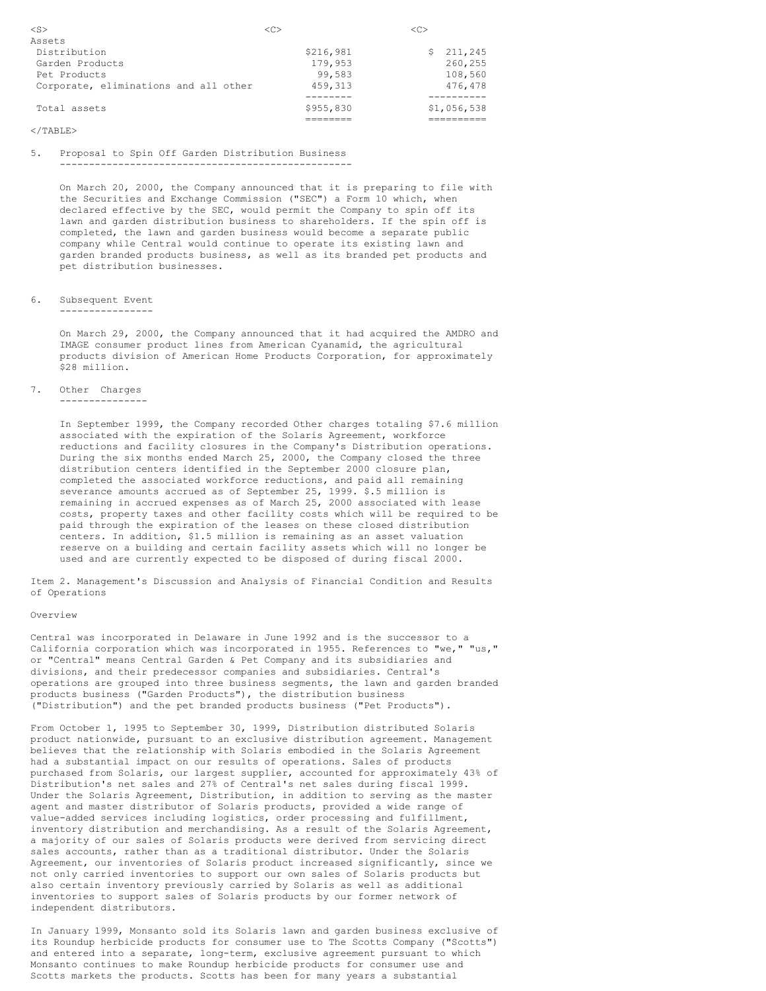| $<$ S $>$                             |           | $\langle C \rangle$ |
|---------------------------------------|-----------|---------------------|
| Assets                                |           |                     |
| Distribution                          | \$216,981 | 211,245<br>S.       |
| Garden Products                       | 179,953   | 260,255             |
| Pet Products                          | 99,583    | 108,560             |
| Corporate, eliminations and all other | 459, 313  | 476.478             |
|                                       |           |                     |
| Total assets                          | \$955,830 | \$1,056,538         |
|                                       |           |                     |

5. Proposal to Spin Off Garden Distribution Business --------------------------------------------------

On March 20, 2000, the Company announced that it is preparing to file with the Securities and Exchange Commission ("SEC") a Form 10 which, when declared effective by the SEC, would permit the Company to spin off its lawn and garden distribution business to shareholders. If the spin off is completed, the lawn and garden business would become a separate public company while Central would continue to operate its existing lawn and garden branded products business, as well as its branded pet products and pet distribution businesses.

### 6. Subsequent Event

----------------

On March 29, 2000, the Company announced that it had acquired the AMDRO and IMAGE consumer product lines from American Cyanamid, the agricultural products division of American Home Products Corporation, for approximately \$28 million.

7. Other Charges ---------------

> In September 1999, the Company recorded Other charges totaling \$7.6 million associated with the expiration of the Solaris Agreement, workforce reductions and facility closures in the Company's Distribution operations. During the six months ended March 25, 2000, the Company closed the three distribution centers identified in the September 2000 closure plan, completed the associated workforce reductions, and paid all remaining severance amounts accrued as of September 25, 1999. \$.5 million is remaining in accrued expenses as of March 25, 2000 associated with lease costs, property taxes and other facility costs which will be required to be paid through the expiration of the leases on these closed distribution centers. In addition, \$1.5 million is remaining as an asset valuation reserve on a building and certain facility assets which will no longer be used and are currently expected to be disposed of during fiscal 2000.

Item 2. Management's Discussion and Analysis of Financial Condition and Results of Operations

## Overview

Central was incorporated in Delaware in June 1992 and is the successor to a California corporation which was incorporated in 1955. References to "we," "us," or "Central" means Central Garden & Pet Company and its subsidiaries and divisions, and their predecessor companies and subsidiaries. Central's operations are grouped into three business segments, the lawn and garden branded products business ("Garden Products"), the distribution business ("Distribution") and the pet branded products business ("Pet Products").

From October 1, 1995 to September 30, 1999, Distribution distributed Solaris product nationwide, pursuant to an exclusive distribution agreement. Management believes that the relationship with Solaris embodied in the Solaris Agreement had a substantial impact on our results of operations. Sales of products purchased from Solaris, our largest supplier, accounted for approximately 43% of Distribution's net sales and 27% of Central's net sales during fiscal 1999. Under the Solaris Agreement, Distribution, in addition to serving as the master agent and master distributor of Solaris products, provided a wide range of value-added services including logistics, order processing and fulfillment, inventory distribution and merchandising. As a result of the Solaris Agreement, a majority of our sales of Solaris products were derived from servicing direct sales accounts, rather than as a traditional distributor. Under the Solaris Agreement, our inventories of Solaris product increased significantly, since we not only carried inventories to support our own sales of Solaris products but also certain inventory previously carried by Solaris as well as additional inventories to support sales of Solaris products by our former network of independent distributors.

In January 1999, Monsanto sold its Solaris lawn and garden business exclusive of its Roundup herbicide products for consumer use to The Scotts Company ("Scotts") and entered into a separate, long-term, exclusive agreement pursuant to which Monsanto continues to make Roundup herbicide products for consumer use and Scotts markets the products. Scotts has been for many years a substantial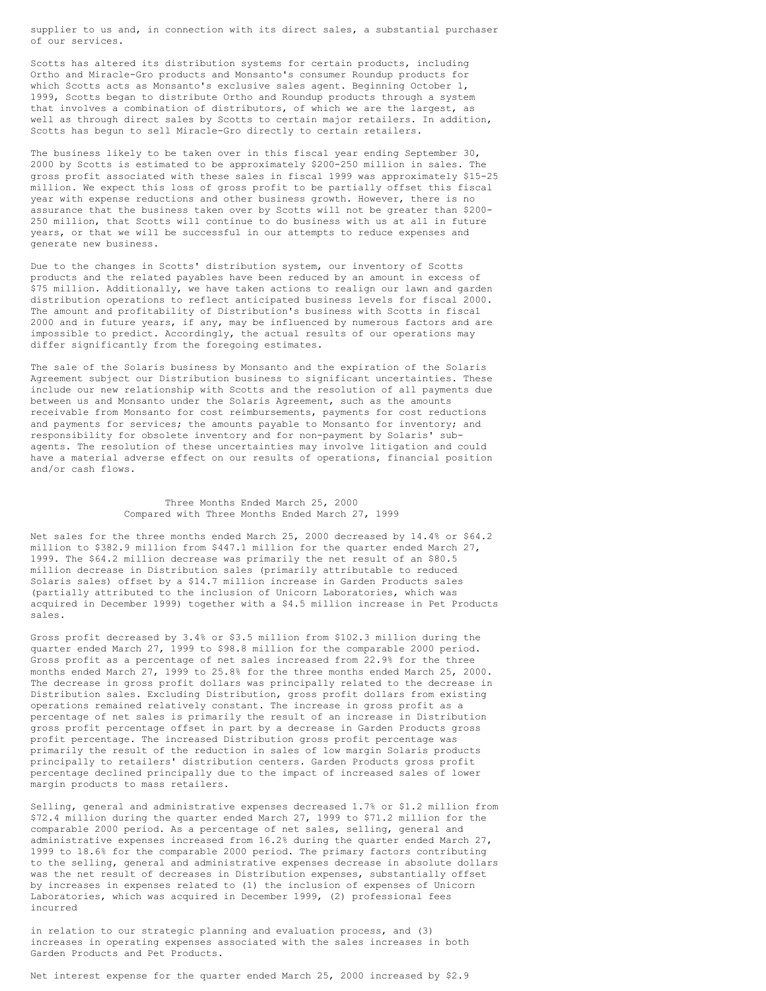supplier to us and, in connection with its direct sales, a substantial purchaser of our services.

Scotts has altered its distribution systems for certain products, including Ortho and Miracle-Gro products and Monsanto's consumer Roundup products for which Scotts acts as Monsanto's exclusive sales agent. Beginning October 1, 1999, Scotts began to distribute Ortho and Roundup products through a system that involves a combination of distributors, of which we are the largest, as well as through direct sales by Scotts to certain major retailers. In addition, Scotts has begun to sell Miracle-Gro directly to certain retailers.

The business likely to be taken over in this fiscal year ending September 30, 2000 by Scotts is estimated to be approximately \$200-250 million in sales. The gross profit associated with these sales in fiscal 1999 was approximately \$15-25 million. We expect this loss of gross profit to be partially offset this fiscal year with expense reductions and other business growth. However, there is no assurance that the business taken over by Scotts will not be greater than \$200- 250 million, that Scotts will continue to do business with us at all in future years, or that we will be successful in our attempts to reduce expenses and generate new business.

Due to the changes in Scotts' distribution system, our inventory of Scotts products and the related payables have been reduced by an amount in excess of \$75 million. Additionally, we have taken actions to realign our lawn and garden distribution operations to reflect anticipated business levels for fiscal 2000. The amount and profitability of Distribution's business with Scotts in fiscal 2000 and in future years, if any, may be influenced by numerous factors and are impossible to predict. Accordingly, the actual results of our operations may differ significantly from the foregoing estimates.

The sale of the Solaris business by Monsanto and the expiration of the Solaris Agreement subject our Distribution business to significant uncertainties. These include our new relationship with Scotts and the resolution of all payments due between us and Monsanto under the Solaris Agreement, such as the amounts receivable from Monsanto for cost reimbursements, payments for cost reductions and payments for services; the amounts payable to Monsanto for inventory; and responsibility for obsolete inventory and for non-payment by Solaris' subagents. The resolution of these uncertainties may involve litigation and could have a material adverse effect on our results of operations, financial position and/or cash flows.

## Three Months Ended March 25, 2000 Compared with Three Months Ended March 27, 1999

Net sales for the three months ended March 25, 2000 decreased by 14.4% or \$64.2 million to \$382.9 million from \$447.1 million for the quarter ended March 27, 1999. The \$64.2 million decrease was primarily the net result of an \$80.5 million decrease in Distribution sales (primarily attributable to reduced Solaris sales) offset by a \$14.7 million increase in Garden Products sales (partially attributed to the inclusion of Unicorn Laboratories, which was acquired in December 1999) together with a \$4.5 million increase in Pet Products sales.

Gross profit decreased by 3.4% or \$3.5 million from \$102.3 million during the quarter ended March 27, 1999 to \$98.8 million for the comparable 2000 period. Gross profit as a percentage of net sales increased from 22.9% for the three months ended March 27, 1999 to 25.8% for the three months ended March 25, 2000. The decrease in gross profit dollars was principally related to the decrease in Distribution sales. Excluding Distribution, gross profit dollars from existing operations remained relatively constant. The increase in gross profit as a percentage of net sales is primarily the result of an increase in Distribution gross profit percentage offset in part by a decrease in Garden Products gross profit percentage. The increased Distribution gross profit percentage was primarily the result of the reduction in sales of low margin Solaris products principally to retailers' distribution centers. Garden Products gross profit percentage declined principally due to the impact of increased sales of lower margin products to mass retailers.

Selling, general and administrative expenses decreased 1.7% or \$1.2 million from \$72.4 million during the quarter ended March 27, 1999 to \$71.2 million for the comparable 2000 period. As a percentage of net sales, selling, general and administrative expenses increased from 16.2% during the quarter ended March 27, 1999 to 18.6% for the comparable 2000 period. The primary factors contributing to the selling, general and administrative expenses decrease in absolute dollars was the net result of decreases in Distribution expenses, substantially offset by increases in expenses related to (1) the inclusion of expenses of Unicorn Laboratories, which was acquired in December 1999, (2) professional fees incurred

in relation to our strategic planning and evaluation process, and (3) increases in operating expenses associated with the sales increases in both Garden Products and Pet Products.

Net interest expense for the quarter ended March 25, 2000 increased by \$2.9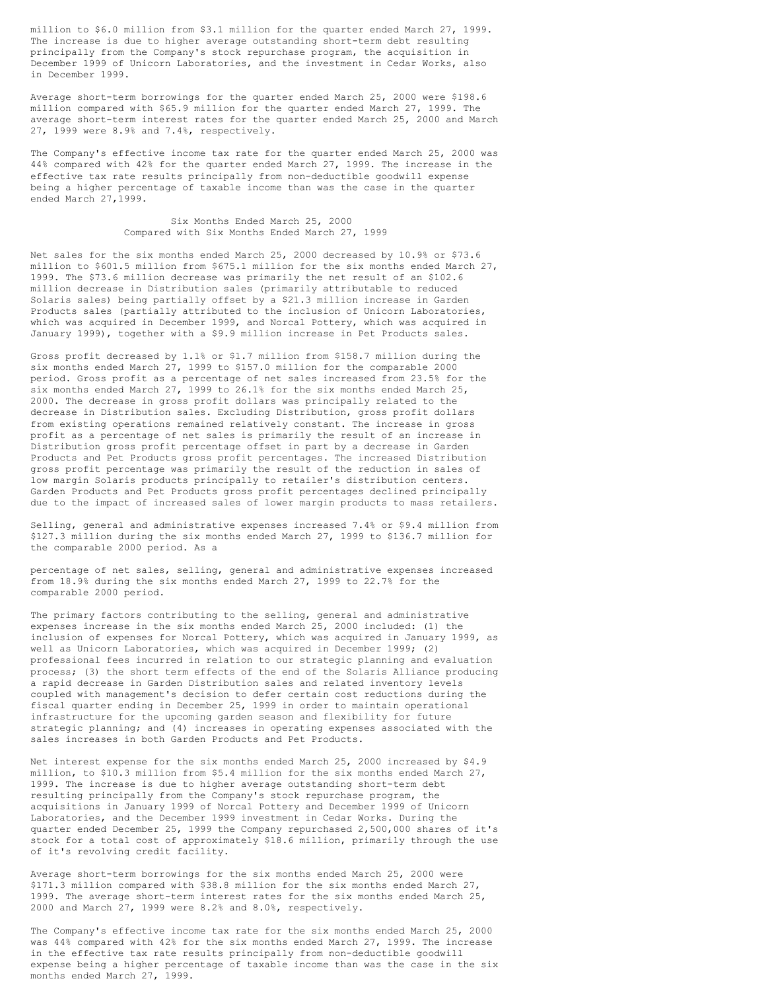million to \$6.0 million from \$3.1 million for the quarter ended March 27, 1999. The increase is due to higher average outstanding short-term debt resulting principally from the Company's stock repurchase program, the acquisition in December 1999 of Unicorn Laboratories, and the investment in Cedar Works, also in December 1999.

Average short-term borrowings for the quarter ended March 25, 2000 were \$198.6 million compared with \$65.9 million for the quarter ended March 27, 1999. The average short-term interest rates for the quarter ended March 25, 2000 and March 27, 1999 were 8.9% and 7.4%, respectively.

The Company's effective income tax rate for the quarter ended March 25, 2000 was 44% compared with 42% for the quarter ended March 27, 1999. The increase in the effective tax rate results principally from non-deductible goodwill expense being a higher percentage of taxable income than was the case in the quarter ended March 27,1999.

### Six Months Ended March 25, 2000 Compared with Six Months Ended March 27, 1999

Net sales for the six months ended March 25, 2000 decreased by 10.9% or \$73.6 million to \$601.5 million from \$675.1 million for the six months ended March 27, 1999. The \$73.6 million decrease was primarily the net result of an \$102.6 million decrease in Distribution sales (primarily attributable to reduced Solaris sales) being partially offset by a \$21.3 million increase in Garden Products sales (partially attributed to the inclusion of Unicorn Laboratories, which was acquired in December 1999, and Norcal Pottery, which was acquired in January 1999), together with a \$9.9 million increase in Pet Products sales.

Gross profit decreased by 1.1% or \$1.7 million from \$158.7 million during the six months ended March 27, 1999 to \$157.0 million for the comparable 2000 period. Gross profit as a percentage of net sales increased from 23.5% for the six months ended March 27, 1999 to 26.1% for the six months ended March 25, 2000. The decrease in gross profit dollars was principally related to the decrease in Distribution sales. Excluding Distribution, gross profit dollars from existing operations remained relatively constant. The increase in gross profit as a percentage of net sales is primarily the result of an increase in Distribution gross profit percentage offset in part by a decrease in Garden Products and Pet Products gross profit percentages. The increased Distribution gross profit percentage was primarily the result of the reduction in sales of low margin Solaris products principally to retailer's distribution centers. Garden Products and Pet Products gross profit percentages declined principally due to the impact of increased sales of lower margin products to mass retailers.

Selling, general and administrative expenses increased 7.4% or \$9.4 million from \$127.3 million during the six months ended March 27, 1999 to \$136.7 million for the comparable 2000 period. As a

percentage of net sales, selling, general and administrative expenses increased from 18.9% during the six months ended March 27, 1999 to 22.7% for the comparable 2000 period.

The primary factors contributing to the selling, general and administrative expenses increase in the six months ended March 25, 2000 included: (1) the inclusion of expenses for Norcal Pottery, which was acquired in January 1999, as well as Unicorn Laboratories, which was acquired in December 1999; (2) professional fees incurred in relation to our strategic planning and evaluation process; (3) the short term effects of the end of the Solaris Alliance producing a rapid decrease in Garden Distribution sales and related inventory levels coupled with management's decision to defer certain cost reductions during the fiscal quarter ending in December 25, 1999 in order to maintain operational infrastructure for the upcoming garden season and flexibility for future strategic planning; and (4) increases in operating expenses associated with the sales increases in both Garden Products and Pet Products.

Net interest expense for the six months ended March 25, 2000 increased by \$4.9 million, to \$10.3 million from \$5.4 million for the six months ended March 27, 1999. The increase is due to higher average outstanding short-term debt resulting principally from the Company's stock repurchase program, the acquisitions in January 1999 of Norcal Pottery and December 1999 of Unicorn Laboratories, and the December 1999 investment in Cedar Works. During the quarter ended December 25, 1999 the Company repurchased 2,500,000 shares of it's stock for a total cost of approximately \$18.6 million, primarily through the use of it's revolving credit facility.

Average short-term borrowings for the six months ended March 25, 2000 were \$171.3 million compared with \$38.8 million for the six months ended March 27, 1999. The average short-term interest rates for the six months ended March 25, 2000 and March 27, 1999 were 8.2% and 8.0%, respectively.

The Company's effective income tax rate for the six months ended March 25, 2000 was 44% compared with 42% for the six months ended March 27, 1999. The increase in the effective tax rate results principally from non-deductible goodwill expense being a higher percentage of taxable income than was the case in the six months ended March 27, 1999.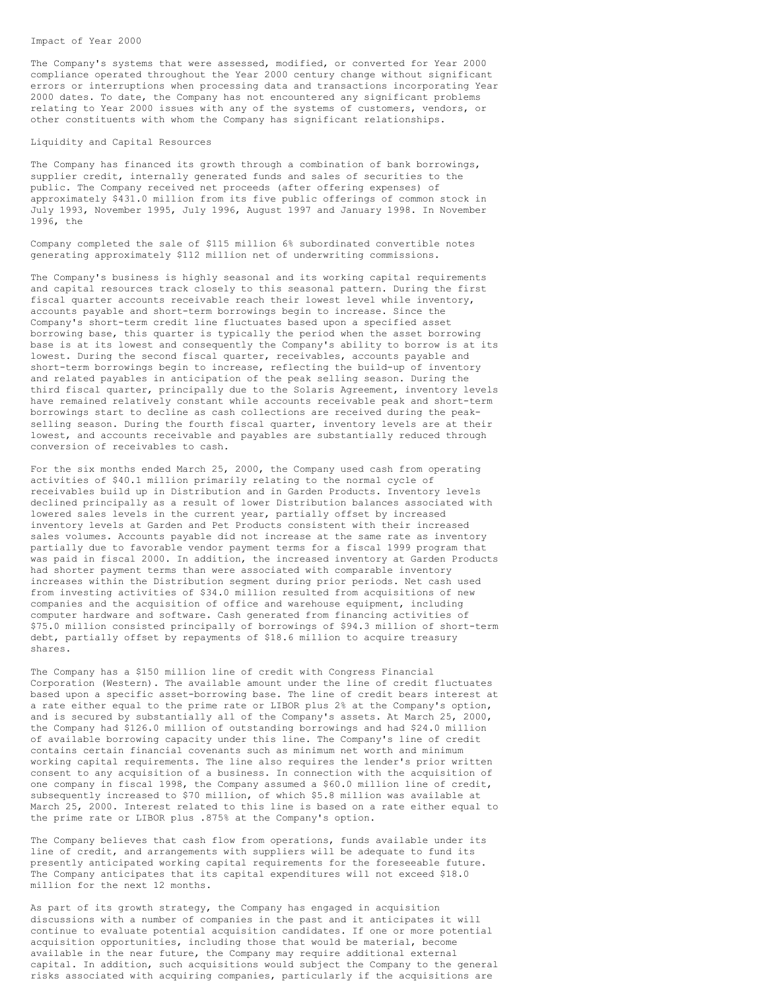The Company's systems that were assessed, modified, or converted for Year 2000 compliance operated throughout the Year 2000 century change without significant errors or interruptions when processing data and transactions incorporating Year 2000 dates. To date, the Company has not encountered any significant problems relating to Year 2000 issues with any of the systems of customers, vendors, or other constituents with whom the Company has significant relationships.

### Liquidity and Capital Resources

The Company has financed its growth through a combination of bank borrowings, supplier credit, internally generated funds and sales of securities to the public. The Company received net proceeds (after offering expenses) of approximately \$431.0 million from its five public offerings of common stock in July 1993, November 1995, July 1996, August 1997 and January 1998. In November 1996, the

Company completed the sale of \$115 million 6% subordinated convertible notes generating approximately \$112 million net of underwriting commissions.

The Company's business is highly seasonal and its working capital requirements and capital resources track closely to this seasonal pattern. During the first fiscal quarter accounts receivable reach their lowest level while inventory, accounts payable and short-term borrowings begin to increase. Since the Company's short-term credit line fluctuates based upon a specified asset borrowing base, this quarter is typically the period when the asset borrowing base is at its lowest and consequently the Company's ability to borrow is at its lowest. During the second fiscal quarter, receivables, accounts payable and short-term borrowings begin to increase, reflecting the build-up of inventory and related payables in anticipation of the peak selling season. During the third fiscal quarter, principally due to the Solaris Agreement, inventory levels have remained relatively constant while accounts receivable peak and short-term borrowings start to decline as cash collections are received during the peakselling season. During the fourth fiscal quarter, inventory levels are at their lowest, and accounts receivable and payables are substantially reduced through conversion of receivables to cash.

For the six months ended March 25, 2000, the Company used cash from operating activities of \$40.1 million primarily relating to the normal cycle of receivables build up in Distribution and in Garden Products. Inventory levels declined principally as a result of lower Distribution balances associated with lowered sales levels in the current year, partially offset by increased inventory levels at Garden and Pet Products consistent with their increased sales volumes. Accounts payable did not increase at the same rate as inventory partially due to favorable vendor payment terms for a fiscal 1999 program that was paid in fiscal 2000. In addition, the increased inventory at Garden Products had shorter payment terms than were associated with comparable inventory increases within the Distribution segment during prior periods. Net cash used from investing activities of \$34.0 million resulted from acquisitions of new companies and the acquisition of office and warehouse equipment, including computer hardware and software. Cash generated from financing activities of \$75.0 million consisted principally of borrowings of \$94.3 million of short-term debt, partially offset by repayments of \$18.6 million to acquire treasury shares.

The Company has a \$150 million line of credit with Congress Financial Corporation (Western). The available amount under the line of credit fluctuates based upon a specific asset-borrowing base. The line of credit bears interest at a rate either equal to the prime rate or LIBOR plus 2% at the Company's option, and is secured by substantially all of the Company's assets. At March 25, 2000, the Company had \$126.0 million of outstanding borrowings and had \$24.0 million of available borrowing capacity under this line. The Company's line of credit contains certain financial covenants such as minimum net worth and minimum working capital requirements. The line also requires the lender's prior written consent to any acquisition of a business. In connection with the acquisition of one company in fiscal 1998, the Company assumed a \$60.0 million line of credit, subsequently increased to \$70 million, of which \$5.8 million was available at March 25, 2000. Interest related to this line is based on a rate either equal to the prime rate or LIBOR plus .875% at the Company's option.

The Company believes that cash flow from operations, funds available under its line of credit, and arrangements with suppliers will be adequate to fund its presently anticipated working capital requirements for the foreseeable future. The Company anticipates that its capital expenditures will not exceed \$18.0 million for the next 12 months.

As part of its growth strategy, the Company has engaged in acquisition discussions with a number of companies in the past and it anticipates it will continue to evaluate potential acquisition candidates. If one or more potential acquisition opportunities, including those that would be material, become available in the near future, the Company may require additional external capital. In addition, such acquisitions would subject the Company to the general risks associated with acquiring companies, particularly if the acquisitions are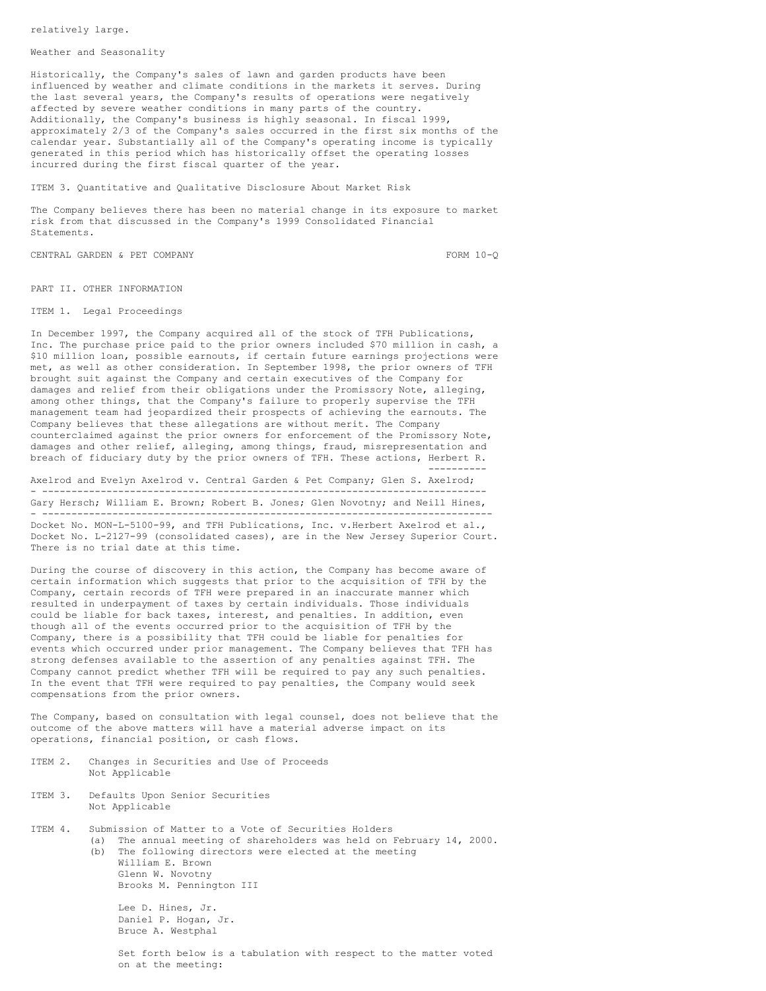relatively large.

### Weather and Seasonality

Historically, the Company's sales of lawn and garden products have been influenced by weather and climate conditions in the markets it serves. During the last several years, the Company's results of operations were negatively affected by severe weather conditions in many parts of the country. Additionally, the Company's business is highly seasonal. In fiscal 1999, approximately 2/3 of the Company's sales occurred in the first six months of the calendar year. Substantially all of the Company's operating income is typically generated in this period which has historically offset the operating losses incurred during the first fiscal quarter of the year.

ITEM 3. Quantitative and Qualitative Disclosure About Market Risk

The Company believes there has been no material change in its exposure to market risk from that discussed in the Company's 1999 Consolidated Financial Statements.

CENTRAL GARDEN & PET COMPANY FORM 10-Q

PART II. OTHER INFORMATION

ITEM 1. Legal Proceedings

In December 1997, the Company acquired all of the stock of TFH Publications, Inc. The purchase price paid to the prior owners included \$70 million in cash, a \$10 million loan, possible earnouts, if certain future earnings projections were met, as well as other consideration. In September 1998, the prior owners of TFH brought suit against the Company and certain executives of the Company for damages and relief from their obligations under the Promissory Note, alleging, among other things, that the Company's failure to properly supervise the TFH management team had jeopardized their prospects of achieving the earnouts. The Company believes that these allegations are without merit. The Company counterclaimed against the prior owners for enforcement of the Promissory Note, damages and other relief, alleging, among things, fraud, misrepresentation and breach of fiduciary duty by the prior owners of TFH. These actions, Herbert R. ----------

Axelrod and Evelyn Axelrod v. Central Garden & Pet Company; Glen S. Axelrod; - ---------------------------------------------------------------------------- Gary Hersch; William E. Brown; Robert B. Jones; Glen Novotny; and Neill Hines, - -----------------------------------------------------------------------------

Docket No. MON-L-5100-99, and TFH Publications, Inc. v.Herbert Axelrod et al., Docket No. L-2127-99 (consolidated cases), are in the New Jersey Superior Court. There is no trial date at this time.

During the course of discovery in this action, the Company has become aware of certain information which suggests that prior to the acquisition of TFH by the Company, certain records of TFH were prepared in an inaccurate manner which resulted in underpayment of taxes by certain individuals. Those individuals could be liable for back taxes, interest, and penalties. In addition, even though all of the events occurred prior to the acquisition of TFH by the Company, there is a possibility that TFH could be liable for penalties for events which occurred under prior management. The Company believes that TFH has strong defenses available to the assertion of any penalties against TFH. The Company cannot predict whether TFH will be required to pay any such penalties. In the event that TFH were required to pay penalties, the Company would seek compensations from the prior owners.

The Company, based on consultation with legal counsel, does not believe that the outcome of the above matters will have a material adverse impact on its operations, financial position, or cash flows.

- ITEM 2. Changes in Securities and Use of Proceeds Not Applicable
- ITEM 3. Defaults Upon Senior Securities Not Applicable
- ITEM 4. Submission of Matter to a Vote of Securities Holders (a) The annual meeting of shareholders was held on February 14, 2000. (b) The following directors were elected at the meeting William E. Brown Glenn W. Novotny Brooks M. Pennington III

Lee D. Hines, Jr. Daniel P. Hogan, Jr. Bruce A. Westphal

Set forth below is a tabulation with respect to the matter voted on at the meeting: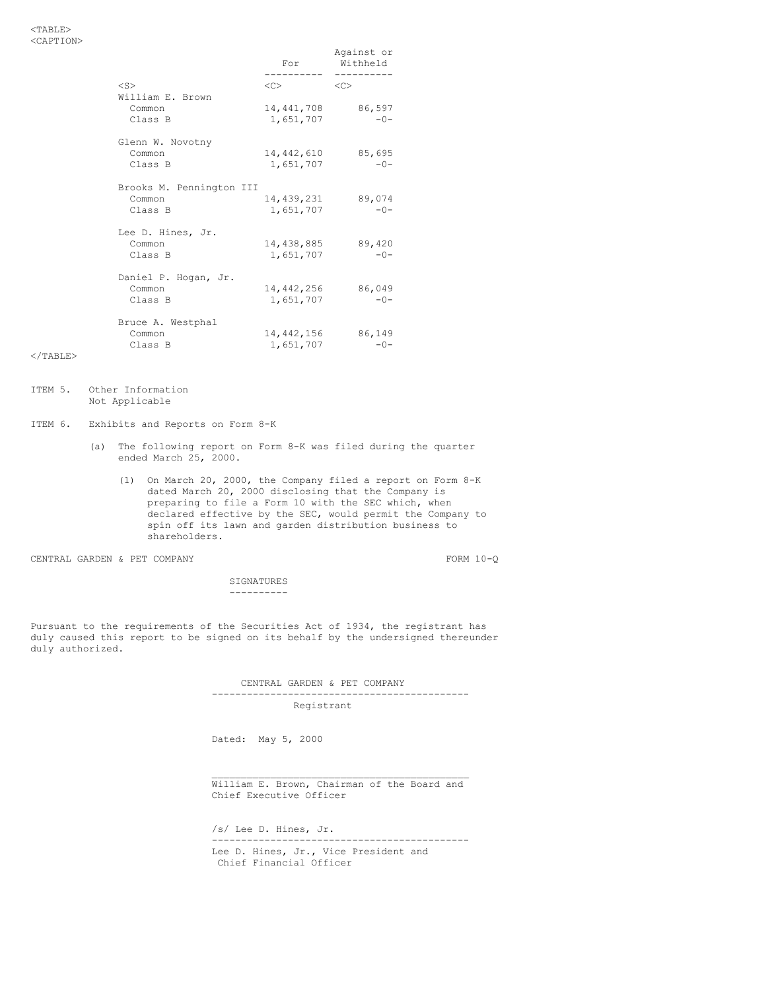|                          | For        | Against or<br>Withheld |
|--------------------------|------------|------------------------|
|                          |            | ---------              |
| $<$ S>                   | $<<$ $>$   | <<                     |
| William E. Brown         |            |                        |
| Common                   | 14,441,708 | 86,597                 |
| Class B                  | 1,651,707  | $-0-$                  |
| Glenn W. Novotny         |            |                        |
| Common                   | 14,442,610 | 85,695                 |
| Class B                  | 1,651,707  | $-0-$                  |
| Brooks M. Pennington III |            |                        |
| Common                   | 14,439,231 | 89,074                 |
| Class B                  | 1,651,707  | $-0-$                  |
| Lee D. Hines, Jr.        |            |                        |
| Common                   | 14,438,885 | 89,420                 |
| Class B                  | 1,651,707  | $-0-$                  |
| Daniel P. Hogan, Jr.     |            |                        |
| Common                   | 14,442,256 | 86,049                 |
| Class B                  | 1,651,707  | $-0-$                  |
| Bruce A. Westphal        |            |                        |
| Common                   | 14,442,156 | 86,149                 |
| Class B                  | 1,651,707  | $-0-$                  |
|                          |            |                        |

- ITEM 5. Other Information Not Applicable
- ITEM 6. Exhibits and Reports on Form 8-K
	- (a) The following report on Form 8-K was filed during the quarter ended March 25, 2000.
		- (1) On March 20, 2000, the Company filed a report on Form 8-K dated March 20, 2000 disclosing that the Company is preparing to file a Form 10 with the SEC which, when declared effective by the SEC, would permit the Company to spin off its lawn and garden distribution business to shareholders.

CENTRAL GARDEN & PET COMPANY FORM 10-Q

SIGNATURES ----------

Pursuant to the requirements of the Securities Act of 1934, the registrant has duly caused this report to be signed on its behalf by the undersigned thereunder duly authorized.

> CENTRAL GARDEN & PET COMPANY -------------------------------------------- Registrant

Dated: May 5, 2000

\_\_\_\_\_\_\_\_\_\_\_\_\_\_\_\_\_\_\_\_\_\_\_\_\_\_\_\_\_\_\_\_\_\_\_\_\_\_\_\_\_\_\_\_ William E. Brown, Chairman of the Board and Chief Executive Officer

/s/ Lee D. Hines, Jr. -------------------------------------------- Lee D. Hines, Jr., Vice President and Chief Financial Officer